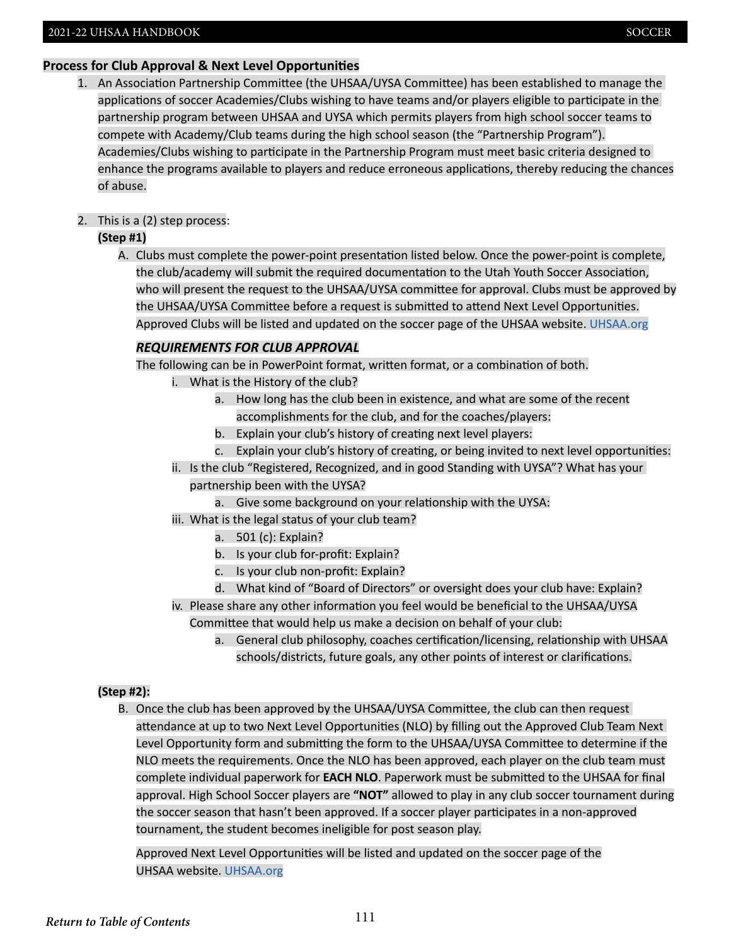## **Process for Club Approval & Next Level Opportunities**

1. An Association Partnership Committee (the UHSAA/UYSA Committee) has been established to manage the applications of soccer Academies/Clubs wishing to have teams and/or players eligible to participate in the partnership program between UHSAA and UYSA which permits players from high school soccer teams to compete with Academy/Club teams during the high school season (the "Partnership Program"). Academies/Clubs wishing to participate in the Partnership Program must meet basic criteria designed to enhance the programs available to players and reduce erroneous applications, thereby reducing the chances of abuse.

# 2. This is a (2) step process:

## **(Step #1)**

 A. Clubs must complete the power-point presentation listed below. Once the power-point is complete, the club/academy will submit the required documentation to the Utah Youth Soccer Association, who will present the request to the UHSAA/UYSA committee for approval. Clubs must be approved by the UHSAA/UYSA Committee before a request is submitted to attend Next Level Opportunities. Approved Clubs will be listed and updated on the soccer page of the UHSAA website. [UHSAA.org](http://UHSAA.org)

# *REQUIREMENTS FOR CLUB APPROVAL*

The following can be in PowerPoint format, written format, or a combination of both.

- i. What is the History of the club?
	- a. How long has the club been in existence, and what are some of the recent accomplishments for the club, and for the coaches/players:
	- b. Explain your club's history of creating next level players:
	- c. Explain your club's history of creating, or being invited to next level opportunities:
- ii. Is the club "Registered, Recognized, and in good Standing with UYSA"? What has your partnership been with the UYSA?
	- a. Give some background on your relationship with the UYSA:
- iii. What is the legal status of your club team?
	- a. 501 (c): Explain?
	- b. Is your club for-profit: Explain?
	- c. Is your club non-profit: Explain?
	- d. What kind of "Board of Directors" or oversight does your club have: Explain?
- iv. Please share any other information you feel would be beneficial to the UHSAA/UYSA Committee that would help us make a decision on behalf of your club:
	- a. General club philosophy, coaches certification/licensing, relationship with UHSAA schools/districts, future goals, any other points of interest or clarifications.

## **(Step #2):**

 B. Once the club has been approved by the UHSAA/UYSA Committee, the club can then request attendance at up to two Next Level Opportunities (NLO) by filling out the Approved Club Team Next Level Opportunity form and submitting the form to the UHSAA/UYSA Committee to determine if the NLO meets the requirements. Once the NLO has been approved, each player on the club team must complete individual paperwork for **EACH NLO**. Paperwork must be submitted to the UHSAA for final approval. High School Soccer players are **"NOT"** allowed to play in any club soccer tournament during the soccer season that hasn't been approved. If a soccer player participates in a non-approved tournament, the student becomes ineligible for post season play.

 Approved Next Level Opportunities will be listed and updated on the soccer page of the UHSAA website. [UHSAA.org](http://UHSAA.org)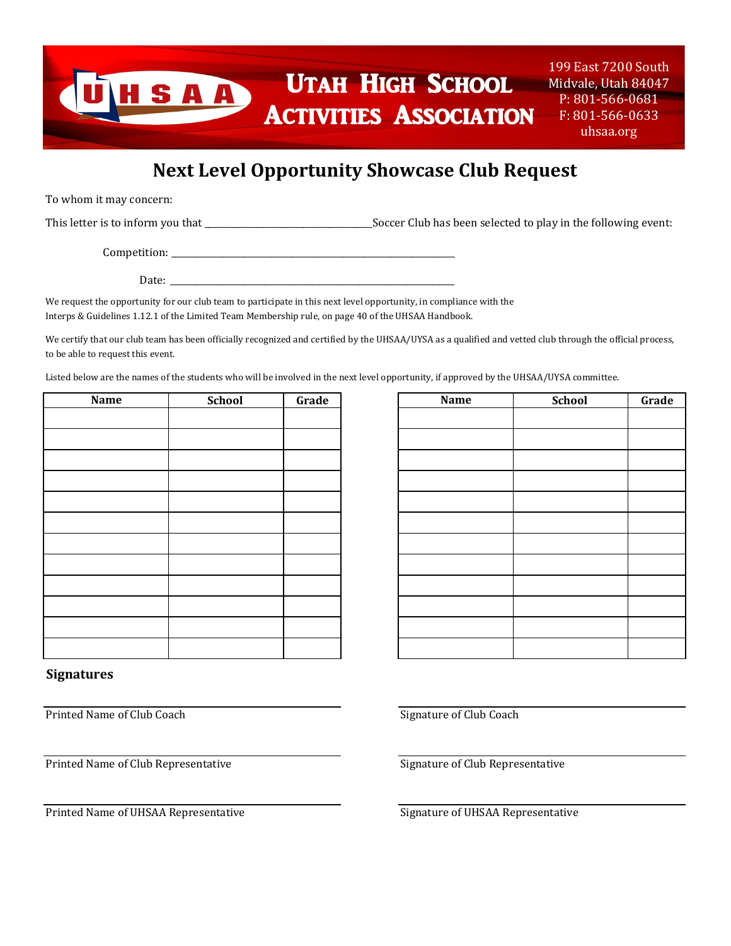# UTAH HIGH SCHOOL SAA Activities Association

199 East 7200 South Midvale, Utah 84047 P: 801-566-0681 F: 801-566-0633 uhsaa.org

# **Next Level Opportunity Showcase Club Request**

To whom it may concern:

This letter is to inform you that \_\_\_\_\_\_\_\_\_\_\_\_\_\_\_\_\_\_\_\_\_\_\_\_\_\_\_\_\_\_\_\_\_\_\_\_\_\_\_Soccer Club has been selected to play in the following event:

Competition: \_\_\_\_\_\_\_\_\_\_\_\_\_\_\_\_\_\_\_\_\_\_\_\_\_\_\_\_\_\_\_\_\_\_\_\_\_\_\_\_\_\_\_\_\_\_\_\_\_\_\_\_\_\_\_\_\_\_\_\_\_\_\_\_\_\_

Date:

We request the opportunity for our club team to participate in this next level opportunity, in compliance with the Interps & Guidelines 1.12.1 of the Limited Team Membership rule, on page 40 of the UHSAA Handbook.

We certify that our club team has been officially recognized and certified by the UHSAA/UYSA as a qualified and vetted club through the official process, to be able to request this event.

Listed below are the names of the students who will be involved in the next level opportunity, if approved by the UHSAA/UYSA committee.

| Name | School | Grade | <b>Name</b> | School |
|------|--------|-------|-------------|--------|
|      |        |       |             |        |
|      |        |       |             |        |
|      |        |       |             |        |
|      |        |       |             |        |
|      |        |       |             |        |
|      |        |       |             |        |
|      |        |       |             |        |
|      |        |       |             |        |
|      |        |       |             |        |
|      |        |       |             |        |
|      |        |       |             |        |
|      |        |       |             |        |
|      |        |       |             |        |

# Grade **Case Contract Contract Contract Contract Contract Contract Contract Contract Contract Contract Contract Contract Contract Contract Contract Contract Contract Contract Contract Contract Contract Contract Contract Con**

## **Signatures**

Printed Name of Club Coach Signature of Club Coach Signature of Club Coach Signature of Club Coach

Printed Name of Club Representative Signature of Club Representative

Printed Name of UHSAA Representative Signature of UHSAA Representative